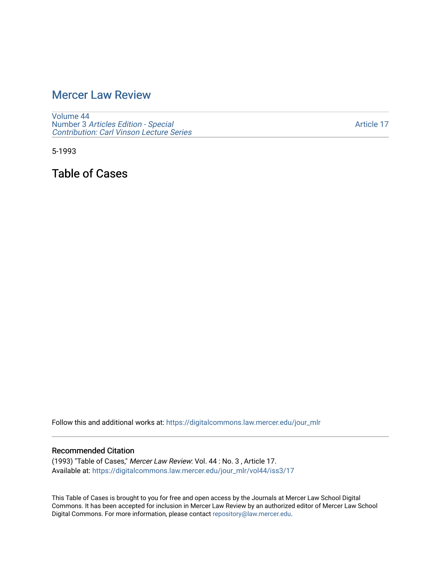## [Mercer Law Review](https://digitalcommons.law.mercer.edu/jour_mlr)

[Volume 44](https://digitalcommons.law.mercer.edu/jour_mlr/vol44) Number 3 [Articles Edition - Special](https://digitalcommons.law.mercer.edu/jour_mlr/vol44/iss3)  [Contribution: Carl Vinson Lecture Series](https://digitalcommons.law.mercer.edu/jour_mlr/vol44/iss3) 

[Article 17](https://digitalcommons.law.mercer.edu/jour_mlr/vol44/iss3/17) 

5-1993

Table of Cases

Follow this and additional works at: [https://digitalcommons.law.mercer.edu/jour\\_mlr](https://digitalcommons.law.mercer.edu/jour_mlr?utm_source=digitalcommons.law.mercer.edu%2Fjour_mlr%2Fvol44%2Fiss3%2F17&utm_medium=PDF&utm_campaign=PDFCoverPages)

## Recommended Citation

(1993) "Table of Cases," Mercer Law Review: Vol. 44 : No. 3 , Article 17. Available at: [https://digitalcommons.law.mercer.edu/jour\\_mlr/vol44/iss3/17](https://digitalcommons.law.mercer.edu/jour_mlr/vol44/iss3/17?utm_source=digitalcommons.law.mercer.edu%2Fjour_mlr%2Fvol44%2Fiss3%2F17&utm_medium=PDF&utm_campaign=PDFCoverPages) 

This Table of Cases is brought to you for free and open access by the Journals at Mercer Law School Digital Commons. It has been accepted for inclusion in Mercer Law Review by an authorized editor of Mercer Law School Digital Commons. For more information, please contact [repository@law.mercer.edu](mailto:repository@law.mercer.edu).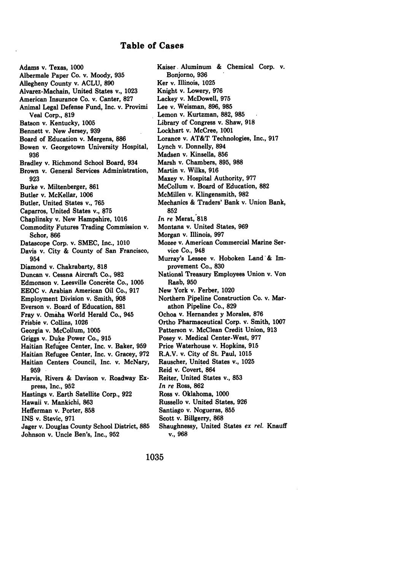## Table of Cases

Adams **v.** Texas, **1000** Albermale Paper Co. v. Moody, **935** Allegheny County v. **ACLU, 890** Alvarez-Machain, United States v., **1023** American Insurance Co. v. Canter, **827** Animal Legal Defense Fund, Inc. v. Provimi Veal Corp., **819** Batson v. Kentucky, **1005** Bennett v. New Jersey, **939** Board of Education v. Mergens, **886** Bowen v. Georgetown University Hospital, **936** Bradley v. Richmond School Board, 934 Brown v. General Services Administration, **923** Burke v. Miltenberger, **861** Butler v. McKellar, **1006** Butler, United States v., **765** Caparros, United States v., **875** Chaplinsky v. New Hampshire, **1016** Commodity Futures Trading Commission v. Schor, 866 Datascope Corp. v. **SMEC,** Inc., **1010** Davis v. City **&** County of San Francisco, 954 Diamond v. Chakrabarty, **818** Duncan v. Cessna Aircraft Co., **982** Edmonson v. Leesville Concrete Co., 1005 **EEOC** v. Arabian American Oil Co., **917** Employment Division v. Smith, **908** Everson v. Board of Education, **881** Fray v. Omaha World Herald Co., 945 Frisbie v. Collins, **1026** Georgia v. McCollum, **1005** Griggs v. Duke Power Co., **915** Haitian Refugee Center, Inc. v. Baker, **959** Haitian Refugee Center, Inc. v. Gracey, **972** Haitian Centers Council, Inc. v. McNary, **959** Harvis, Rivers **&** Davison v. Roadway **Ex**press, Inc., **952** Hastings v. Earth Satellite Corp., **922** Hawaii v. Mankichi, **863** Hefferman v. Porter, **858 INS** v. Stevic, **971** Jager v. Douglas County School District, **885** Johnson v. Uncle Ben's, Inc., **952**

Kaiser. Aluminum **&** Chemical Corp. v. Bonjorno, **936** Ker v. Illinois, **1025** Knight v. Lowery, **976** Lackey v. McDowell, **975** Lee v. Weisman, **896, 985** Lemon **v.** Kurtzman, **882, 985** Library of Congress v. Shaw, **918** Lockhart v. McCree, **1001** Lorance v. AT&T Technologies, Inc., **917** Lynch v. Donnelly, 894 Madsen v. Kinsella, **856** Marsh v. Chambers, **895, 988** Martin v. Wilks, **916** Maxey v. Hospital Authority, **977** McCollum v. Board of Education, **882** McMillen v. Klingensmith, **982** Mechanics **&** Traders' Bank v. Union Bank, **852** *In* re Merat, **818** Montana v. United States, **969** Morgan v. Illinois, **997** Mozee v. American Commercial Marine Service Co., 948 Murray's Lessee v. Hoboken Land'& Improvement **Co., 830** National Treasury Employees Union v. Von Raab, 950 New York v. Ferber, 1020 Northern Pipeline Construction Co. v. Marathon Pipeline Co., **829** Ochoa v. Hernandez **y** Morales, **876** Ortho Pharmaceutical Corp. v. Smith, **1007** Patterson v. McClean Credit Union, **913** Posey v. Medical Center-West, **977** Price Waterhouse v. Hopkins, **915** R.A.V. v. City of St. Paul, **1015** Rauscher, United States v., **1025** Reid v. Covert, 864 Reiter, United States v., **853** *In re* Ross, **862** Ross v. Oklahoma, **1000** Russello v. United States, **926** Santiago v. Nogueras, **855** Scott v. Billgerry, **868** Shaughnessy, United States *ex rel.* Knauff v., **968**

**1035**